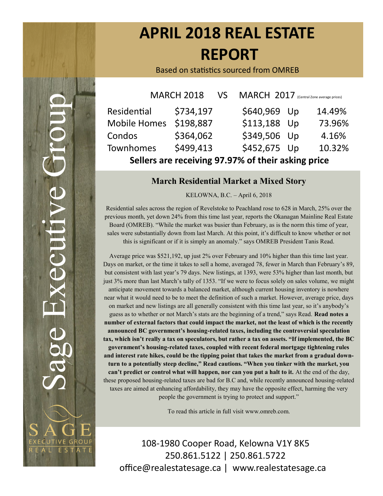# **APRIL 2018 REAL ESTATE REPORT**

Based on statistics sourced from OMREB

| <b>MARCH 2018</b>                                  |           | VS MARCH 2017 (Central Zone average prices) |  |        |  |  |  |  |
|----------------------------------------------------|-----------|---------------------------------------------|--|--------|--|--|--|--|
| Residential                                        | \$734,197 | \$640,969 Up                                |  | 14.49% |  |  |  |  |
| <b>Mobile Homes</b>                                | \$198,887 | \$113,188 Up                                |  | 73.96% |  |  |  |  |
| Condos                                             | \$364,062 | \$349,506 Up                                |  | 4.16%  |  |  |  |  |
| Townhomes                                          | \$499,413 | \$452,675 Up                                |  | 10.32% |  |  |  |  |
| Sellers are receiving 97.97% of their asking price |           |                                             |  |        |  |  |  |  |

#### **March Residential Market a Mixed Story**

KELOWNA, B.C. – April 6, 2018

Residential sales across the region of Revelstoke to Peachland rose to 628 in March, 25% over the previous month, yet down 24% from this time last year, reports the Okanagan Mainline Real Estate Board (OMREB). "While the market was busier than February, as is the norm this time of year, sales were substantially down from last March. At this point, it's difficult to know whether or not this is significant or if it is simply an anomaly." says OMREB President Tanis Read.

Average price was \$521,192, up just 2% over February and 10% higher than this time last year. Days on market, or the time it takes to sell a home, averaged 78, fewer in March than February's 89, but consistent with last year's 79 days. New listings, at 1393, were 53% higher than last month, but just 3% more than last March's tally of 1353. "If we were to focus solely on sales volume, we might anticipate movement towards a balanced market, although current housing inventory is nowhere near what it would need to be to meet the definition of such a market. However, average price, days on market and new listings are all generally consistent with this time last year, so it's anybody's guess as to whether or not March's stats are the beginning of a trend," says Read. **Read notes a number of external factors that could impact the market, not the least of which is the recently announced BC government's housing-related taxes, including the controversial speculation tax, which isn't really a tax on speculators, but rather a tax on assets. "If implemented, the BC government's housing-related taxes, coupled with recent federal mortgage tightening rules and interest rate hikes, could be the tipping point that takes the market from a gradual downturn to a potentially steep decline," Read cautions. "When you tinker with the market, you can't predict or control what will happen, nor can you put a halt to it.** At the end of the day, these proposed housing-related taxes are bad for B.C and, while recently announced housing-related taxes are aimed at enhancing affordability, they may have the opposite effect, harming the very people the government is trying to protect and support."

To read this article in full visit www.omreb.com.

108-1980 Cooper Road, Kelowna V1Y 8K5 250.861.5122 | 250.861.5722 office@realestatesage.ca | www.realestatesage.ca

**CUTIVE GROUF** L ESTATE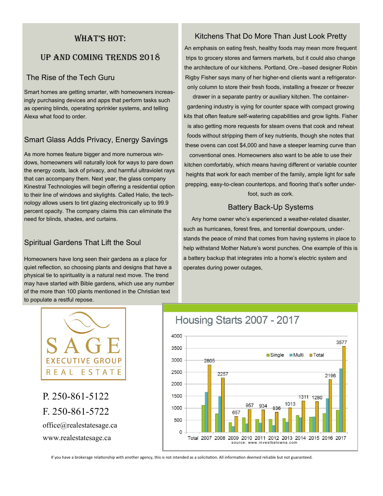#### WHAT'S HOT:

## Up and coming trends 2018

#### The Rise of the Tech Guru

Smart homes are getting smarter, with homeowners increasingly purchasing devices and apps that perform tasks such as opening blinds, operating sprinkler systems, and telling Alexa what food to order.

## Smart Glass Adds Privacy, Energy Savings

As more homes feature bigger and more numerous windows, homeowners will naturally look for ways to pare down the energy costs, lack of privacy, and harmful ultraviolet rays that can accompany them. Next year, the glass company Kinestral Technologies will begin offering a residential option to their line of windows and skylights. Called Halio, the technology allows users to tint glazing electronically up to 99.9 percent opacity. The company claims this can eliminate the need for blinds, shades, and curtains.

## Spiritual Gardens That Lift the Soul

Homeowners have long seen their gardens as a place for quiet reflection, so choosing plants and designs that have a physical tie to spirituality is a natural next move. The trend may have started with Bible gardens, which use any number of the more than 100 plants mentioned in the Christian text to populate a restful repose.

#### Kitchens That Do More Than Just Look Pretty

An emphasis on eating fresh, healthy foods may mean more frequent trips to grocery stores and farmers markets, but it could also change the architecture of our kitchens. Portland, Ore.–based designer Robin Rigby Fisher says many of her higher-end clients want a refrigeratoronly column to store their fresh foods, installing a freezer or freezer

drawer in a separate pantry or auxiliary kitchen. The containergardening industry is vying for counter space with compact growing kits that often feature self-watering capabilities and grow lights. Fisher is also getting more requests for steam ovens that cook and reheat foods without stripping them of key nutrients, though she notes that these ovens can cost \$4,000 and have a steeper learning curve than conventional ones. Homeowners also want to be able to use their kitchen comfortably, which means having different or variable counter heights that work for each member of the family, ample light for safe prepping, easy-to-clean countertops, and flooring that's softer underfoot, such as cork.

#### Battery Back-Up Systems

 Any home owner who's experienced a weather-related disaster, such as hurricanes, forest fires, and torrential downpours, understands the peace of mind that comes from having systems in place to help withstand Mother Nature's worst punches. One example of this is a battery backup that integrates into a home's electric system and operates during power outages,



P. 250-861-5122 F. 250-861-5722 office@realestatesage.ca www.realestatesage.ca

## Housing Starts 2007 - 2017



If you have a brokerage relationship with another agency, this is not intended as a solicitation. All information deemed reliable but not guaranteed.